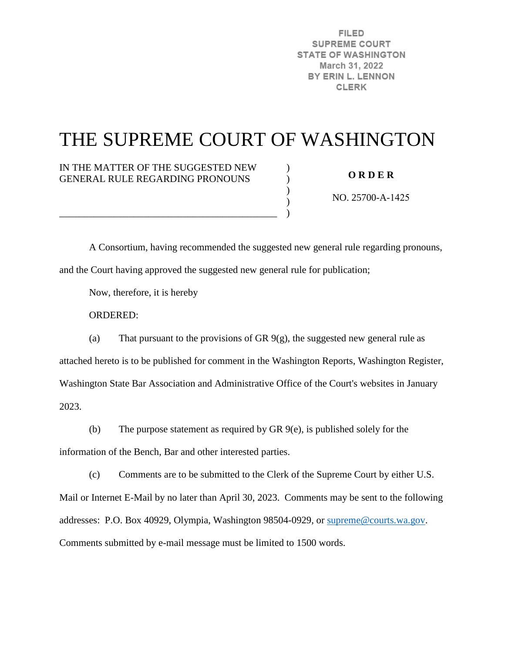**FILED SUPREME COURT STATE OF WASHINGTON** March 31, 2022 BY ERIN L. LENNON **CLERK** 

# THE SUPREME COURT OF WASHINGTON

 $\mathcal{L}$  $\lambda$  $\mathcal{L}$ ) )

IN THE MATTER OF THE SUGGESTED NEW GENERAL RULE REGARDING PRONOUNS

\_\_\_\_\_\_\_\_\_\_\_\_\_\_\_\_\_\_\_\_\_\_\_\_\_\_\_\_\_\_\_\_\_\_\_\_\_\_\_\_\_\_\_\_

**O R D E R** 

NO. 25700-A-1425

 A Consortium, having recommended the suggested new general rule regarding pronouns, and the Court having approved the suggested new general rule for publication;

Now, therefore, it is hereby

ORDERED:

(a) That pursuant to the provisions of GR  $9(g)$ , the suggested new general rule as attached hereto is to be published for comment in the Washington Reports, Washington Register, Washington State Bar Association and Administrative Office of the Court's websites in January 2023.

(b) The purpose statement as required by GR 9(e), is published solely for the

information of the Bench, Bar and other interested parties.

(c) Comments are to be submitted to the Clerk of the Supreme Court by either U.S. Mail or Internet E-Mail by no later than April 30, 2023. Comments may be sent to the following addresses: P.O. Box 40929, Olympia, Washington 98504-0929, or [supreme@courts.wa.gov.](mailto:supreme@courts.wa.gov)

Comments submitted by e-mail message must be limited to 1500 words.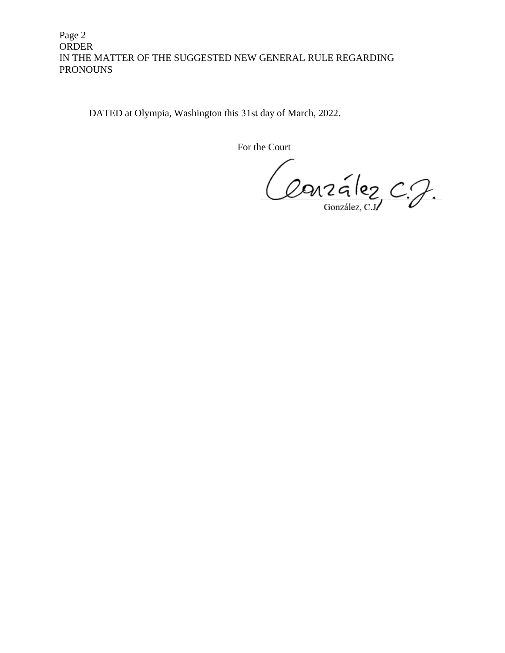# Page 2 ORDER IN THE MATTER OF THE SUGGESTED NEW GENERAL RULE REGARDING PRONOUNS

DATED at Olympia, Washington this 31st day of March, 2022.

For the Court

Couzalez C.J.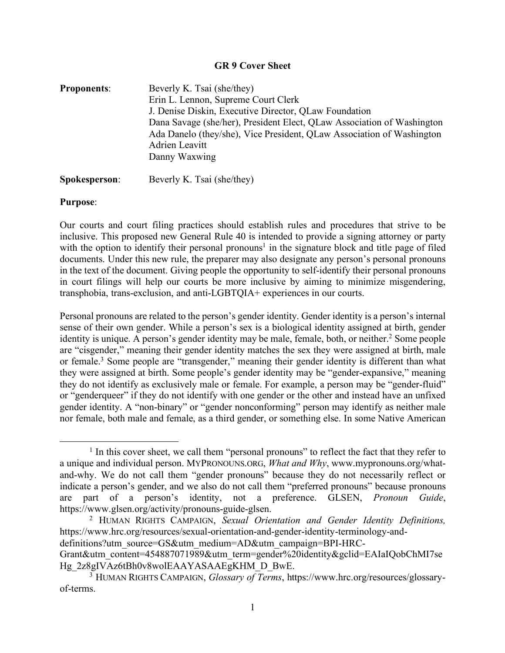#### **GR 9 Cover Sheet**

| <b>Proponents:</b> | Beverly K. Tsai (she/they)                                             |
|--------------------|------------------------------------------------------------------------|
|                    | Erin L. Lennon, Supreme Court Clerk                                    |
|                    | J. Denise Diskin, Executive Director, QLaw Foundation                  |
|                    | Dana Savage (she/her), President Elect, QLaw Association of Washington |
|                    | Ada Danelo (they/she), Vice President, QLaw Association of Washington  |
|                    | Adrien Leavitt                                                         |
|                    | Danny Waxwing                                                          |
|                    |                                                                        |

# **Spokesperson:** Beverly K. Tsai (she/they)

#### **Purpose**:

l

Our courts and court filing practices should establish rules and procedures that strive to be inclusive. This proposed new General Rule 40 is intended to provide a signing attorney or party with the option to identify their personal pronouns<sup>1</sup> in the signature block and title page of filed documents. Under this new rule, the preparer may also designate any person's personal pronouns in the text of the document. Giving people the opportunity to self-identify their personal pronouns in court filings will help our courts be more inclusive by aiming to minimize misgendering, transphobia, trans-exclusion, and anti-LGBTQIA+ experiences in our courts.

Personal pronouns are related to the person's gender identity. Gender identity is a person's internal sense of their own gender. While a person's sex is a biological identity assigned at birth, gender identity is unique. A person's gender identity may be male, female, both, or neither.<sup>2</sup> Some people are "cisgender," meaning their gender identity matches the sex they were assigned at birth, male or female. <sup>3</sup> Some people are "transgender," meaning their gender identity is different than what they were assigned at birth. Some people's gender identity may be "gender-expansive," meaning they do not identify as exclusively male or female. For example, a person may be "gender-fluid" or "genderqueer" if they do not identify with one gender or the other and instead have an unfixed gender identity. A "non-binary" or "gender nonconforming" person may identify as neither male nor female, both male and female, as a third gender, or something else. In some Native American

<sup>&</sup>lt;sup>1</sup> In this cover sheet, we call them "personal pronouns" to reflect the fact that they refer to a unique and individual person. MYPRONOUNS.ORG, *What and Why*, www.mypronouns.org/whatand-why. We do not call them "gender pronouns" because they do not necessarily reflect or indicate a person's gender, and we also do not call them "preferred pronouns" because pronouns are part of a person's identity, not a preference. GLSEN, *Pronoun Guide*, https://www.glsen.org/activity/pronouns-guide-glsen.

<sup>2</sup> HUMAN RIGHTS CAMPAIGN, *Sexual Orientation and Gender Identity Definitions,* https://www.hrc.org/resources/sexual-orientation-and-gender-identity-terminology-anddefinitions?utm\_source=GS&utm\_medium=AD&utm\_campaign=BPI-HRC-

Grant&utm\_content=454887071989&utm\_term=gender%20identity&gclid=EAIaIQobChMI7se Hg\_2z8gIVAz6tBh0v8wolEAAYASAAEgKHM\_D\_BwE.

<sup>3</sup> HUMAN RIGHTS CAMPAIGN, *Glossary of Terms*, https://www.hrc.org/resources/glossaryof-terms.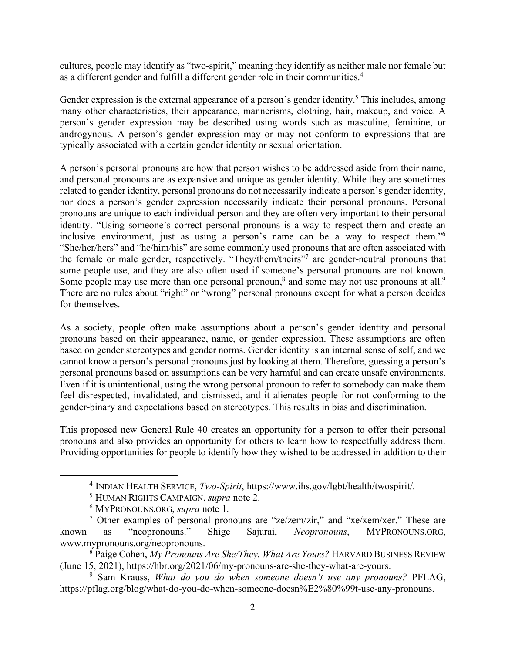cultures, people may identify as "two-spirit," meaning they identify as neither male nor female but as a different gender and fulfill a different gender role in their communities. 4

Gender expression is the external appearance of a person's gender identity.<sup>5</sup> This includes, among many other characteristics, their appearance, mannerisms, clothing, hair, makeup, and voice. A person's gender expression may be described using words such as masculine, feminine, or androgynous. A person's gender expression may or may not conform to expressions that are typically associated with a certain gender identity or sexual orientation.

A person's personal pronouns are how that person wishes to be addressed aside from their name, and personal pronouns are as expansive and unique as gender identity. While they are sometimes related to gender identity, personal pronouns do not necessarily indicate a person's gender identity, nor does a person's gender expression necessarily indicate their personal pronouns. Personal pronouns are unique to each individual person and they are often very important to their personal identity. "Using someone's correct personal pronouns is a way to respect them and create an inclusive environment, just as using a person's name can be a way to respect them."6 "She/her/hers" and "he/him/his" are some commonly used pronouns that are often associated with the female or male gender, respectively. "They/them/theirs"7 are gender-neutral pronouns that some people use, and they are also often used if someone's personal pronouns are not known. Some people may use more than one personal pronoun,<sup>8</sup> and some may not use pronouns at all.<sup>9</sup> There are no rules about "right" or "wrong" personal pronouns except for what a person decides for themselves.

As a society, people often make assumptions about a person's gender identity and personal pronouns based on their appearance, name, or gender expression. These assumptions are often based on gender stereotypes and gender norms. Gender identity is an internal sense of self, and we cannot know a person's personal pronouns just by looking at them. Therefore, guessing a person's personal pronouns based on assumptions can be very harmful and can create unsafe environments. Even if it is unintentional, using the wrong personal pronoun to refer to somebody can make them feel disrespected, invalidated, and dismissed, and it alienates people for not conforming to the gender-binary and expectations based on stereotypes. This results in bias and discrimination.

This proposed new General Rule 40 creates an opportunity for a person to offer their personal pronouns and also provides an opportunity for others to learn how to respectfully address them. Providing opportunities for people to identify how they wished to be addressed in addition to their

l

<sup>4</sup> INDIAN HEALTH SERVICE, *Two-Spirit*, https://www.ihs.gov/lgbt/health/twospirit/.

<sup>5</sup> HUMAN RIGHTS CAMPAIGN, *supra* note 2.

<sup>6</sup> MYPRONOUNS.ORG, *supra* note 1.

<sup>7</sup> Other examples of personal pronouns are "ze/zem/zir," and "xe/xem/xer." These are known as "neopronouns." Shige Sajurai, *Neopronouns*, MYPRONOUNS.ORG, www.mypronouns.org/neopronouns.

<sup>8</sup> Paige Cohen, *My Pronouns Are She/They. What Are Yours?* HARVARD BUSINESS REVIEW (June 15, 2021), https://hbr.org/2021/06/my-pronouns-are-she-they-what-are-yours.

<sup>9</sup> Sam Krauss, *What do you do when someone doesn't use any pronouns?* PFLAG, https://pflag.org/blog/what-do-you-do-when-someone-doesn%E2%80%99t-use-any-pronouns.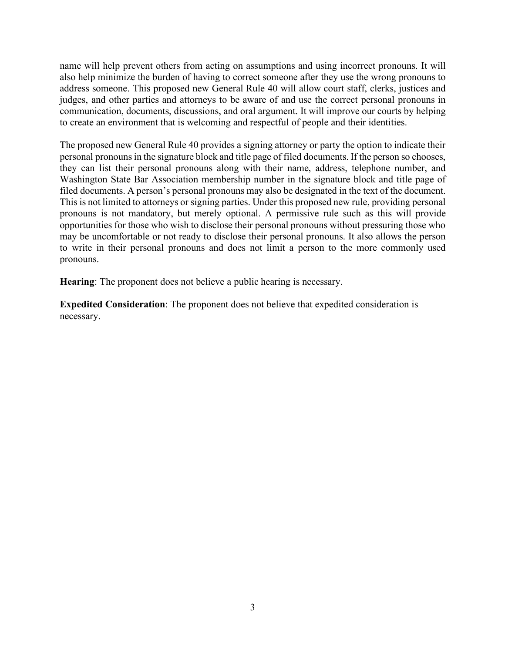name will help prevent others from acting on assumptions and using incorrect pronouns. It will also help minimize the burden of having to correct someone after they use the wrong pronouns to address someone. This proposed new General Rule 40 will allow court staff, clerks, justices and judges, and other parties and attorneys to be aware of and use the correct personal pronouns in communication, documents, discussions, and oral argument. It will improve our courts by helping to create an environment that is welcoming and respectful of people and their identities.

The proposed new General Rule 40 provides a signing attorney or party the option to indicate their personal pronouns in the signature block and title page of filed documents. If the person so chooses, they can list their personal pronouns along with their name, address, telephone number, and Washington State Bar Association membership number in the signature block and title page of filed documents. A person's personal pronouns may also be designated in the text of the document. This is not limited to attorneys or signing parties. Under this proposed new rule, providing personal pronouns is not mandatory, but merely optional. A permissive rule such as this will provide opportunities for those who wish to disclose their personal pronouns without pressuring those who may be uncomfortable or not ready to disclose their personal pronouns. It also allows the person to write in their personal pronouns and does not limit a person to the more commonly used pronouns.

**Hearing**: The proponent does not believe a public hearing is necessary.

**Expedited Consideration**: The proponent does not believe that expedited consideration is necessary.